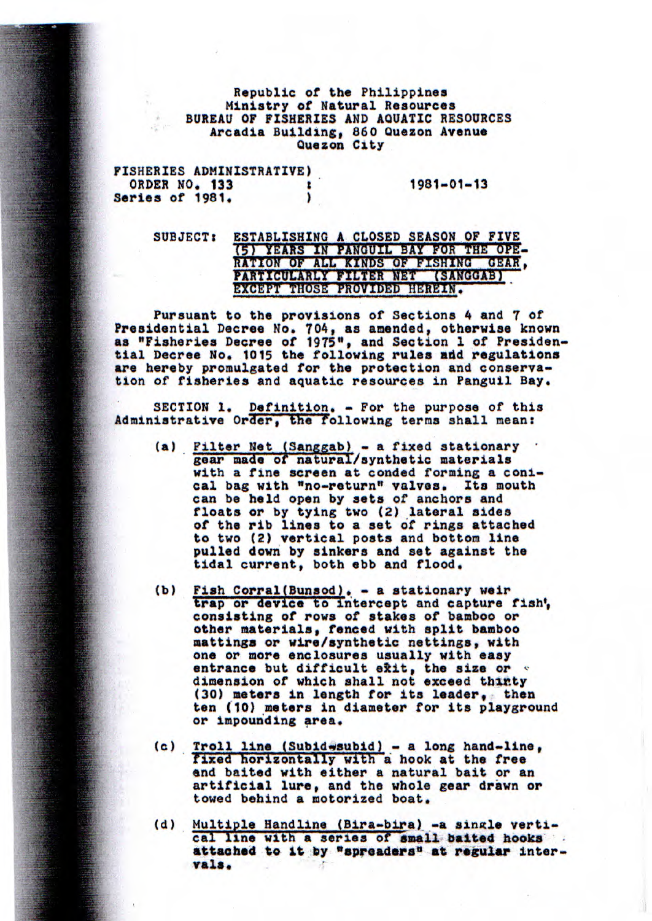## Republic of the Philippines Ministry of Natural Resources BUREAU OF FISHERIES AND AQUATIC RESOURCES Arcadia Building, 860 Quezon Avenue Quezon City

| FISHERIES ADMINISTRATIVE) |                  |
|---------------------------|------------------|
| ORDER NO. 133             | $1981 - 01 - 13$ |
| Series of 1981.           |                  |

## SUBJECT: ESTABLISHING A CLOSED SEASON OF FIVE (5) YEARS IN PANGUIL BAY FOR THE OPE-RATION OF ALL **KINDS** OF **FISHING PARTICULARLY FILTER** NET (SANGGAB) GEAR, EXCEPT THOSE PROVIDED HEREIN.

Pursuant to the provisions of Sections 4 and 7 of Presidential Decree Mo. 704, as amended, otherwise known as "Fisheries Decree of 1975", and Section 1 of Presidential Decree No. 1015 the following rules add regulations are hereby promulgated for the protection and conservation of fisheries and aquatic resources in Panguil Bay.

SECTION 1. *Definition. -* For the purpose of this Administrative Order, the following terms shall mean:

- (a) Filter Net (Sanggab) a fixed stationary gear made of natural/synthetic materials with a fine screen at conded *forming a* conical bag with *"no*-return" valves. Its mouth can be held open by sets of anchors and floats or *by tying two* (2) lateral sides of the rib **lines** to a set of *rings* attached to two (2) vertical posts and bottom *line*  pulled down by sinkers and set against the tidal current, both ebb and flood. can be held open by sets of anchors and<br>floats or by tying two (2) lateral sides<br>of the rib lines to a set of rings attach<br>to two (2) vertical posts and bottom line<br>pulled down by sinkers and set against th<br>tidal current,
	- (b) Fish Corral(Bunsod). a stationary weir<br>trap or device to intercept and capture fish', consisting of rows of stakes of bamboo or other materials, fenced with split bamboo mattinga or wire/synthetic nettings, with one or more enclosures usually with easy entrance but difficult exit, the size or dimension of which shall not exceed thirty one or more enclosures usually with easy<br>entrance but difficult exit, the size or<br>dimension of which shall not exceed thinty<br>(30) meters in length for its leader, then<br>ten (10) meters in diameter for its playgrou (30) meters in length for its leader, then<br>ten (10) meters in diameter for its playground or impounding area.
		- (c) Troll line (Subid-subid) a long hand-line, fixed horizontally with a hook at the free and baited with either a natural bait or an artificial lure, and the whole gear drawn or towed behind a motorized boat.
		- (d) Multiple Handline (Bira-bira)-a single verti**cal line** with a series of **small, baited hooks j: attached to it by "spreaders" at regular** inter**vals,**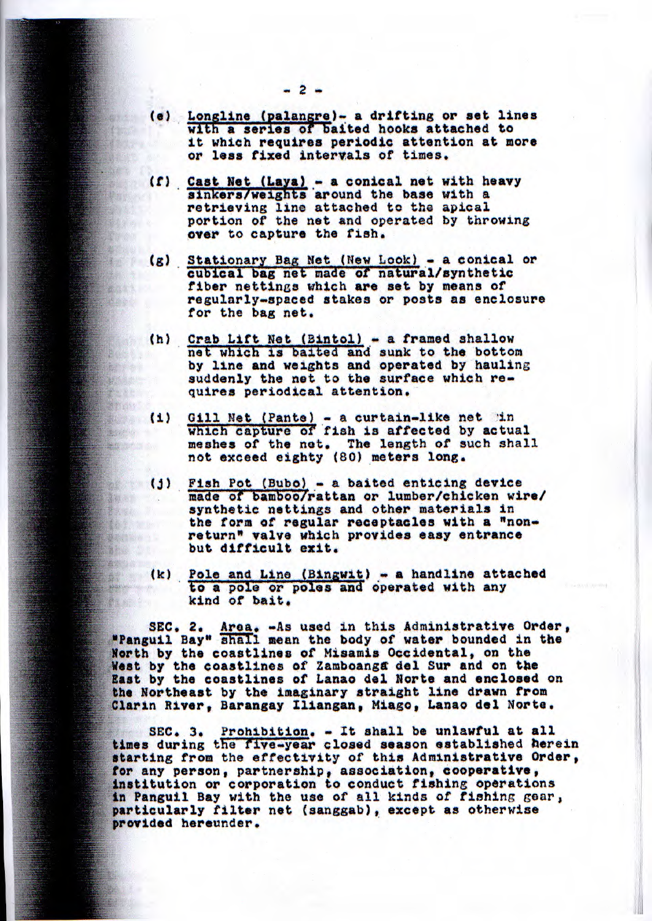- (e) Longline (palangre)- a drifting or set lines with a **series** of baited hooks attached to it which requires periodic attention at more **or less fixed** intervals of times,
- (f) Cast Net (Laya) a conical net with heavy sinkers/weights around the base with a retrieving line attached to the apical portion of the net and operated by throwing **over** to capture the fish, **Revenue**
- (g) Stationary Bag Net (New Look) a conical or cubical bag net made of natural/synthetic cubical bag net made of natural/synthetic fiber nettings which **are** set by means of **PERMIT AND INCOME.** regularly-spaced stakes or posts as enclosure for the bag net.
- (h) Crab Lift Net (Bintol) a framed shallow net which is baited and sunk to the bottom by **line** and weights and operated by hauling **Property** the property of **The Communication** suddenly the net to the surface which requires periodical attention, **Report Follows** 
	- **RABOT .** Ci) Gil]. Net (Pante) - a curtain-like net in hich capture of fish is affected by actual **Change Communication** meshes of the not. The length of such shall **ALBERTARY** not exceed eighty (80) meters long.
		- (j) Fish Pot (Bubo) a baited enticing device made of bamboo/rattan or lumber/chicken wire/ *synthetic nettings and* other materials in the form of regular receptacles with a "nonreturn" valve which provides easy entrance but difficult exit.
	- (k) Pole and Line (Bingwit) a handline attached<br>to a pole or poles and operated with any to a pole or poles and operated with any kind of bait, **References**

SEC. 2. Area. -As used in this Administrative Order, **"Panguil Bay" shall mean the body of water bounded in the** North by the coastlines of Misamis Occidental, on the West by the coastlines of Zamboanga del Sur and on the East by the coastlines of Lanao del Norte and enclosed on *the Northeast by the* imaginary straight line drawn from **Ciarin River,** Barangay Iliangan, **Miago,** Lanao del Norte.

*SEC, 3. Prohibition. - It shall be unlawful at all times during* the five-year closed season established herein starting from the *effectivity of* this Administrative Order, for *any person, partnership, association,* **cooperative,**  institution or corporation to conduct fishing operations in Panguil Bay with the use of all kinds of fishing gear, particularly filter net (sanggab), except as otherwise **provided** hereunder.